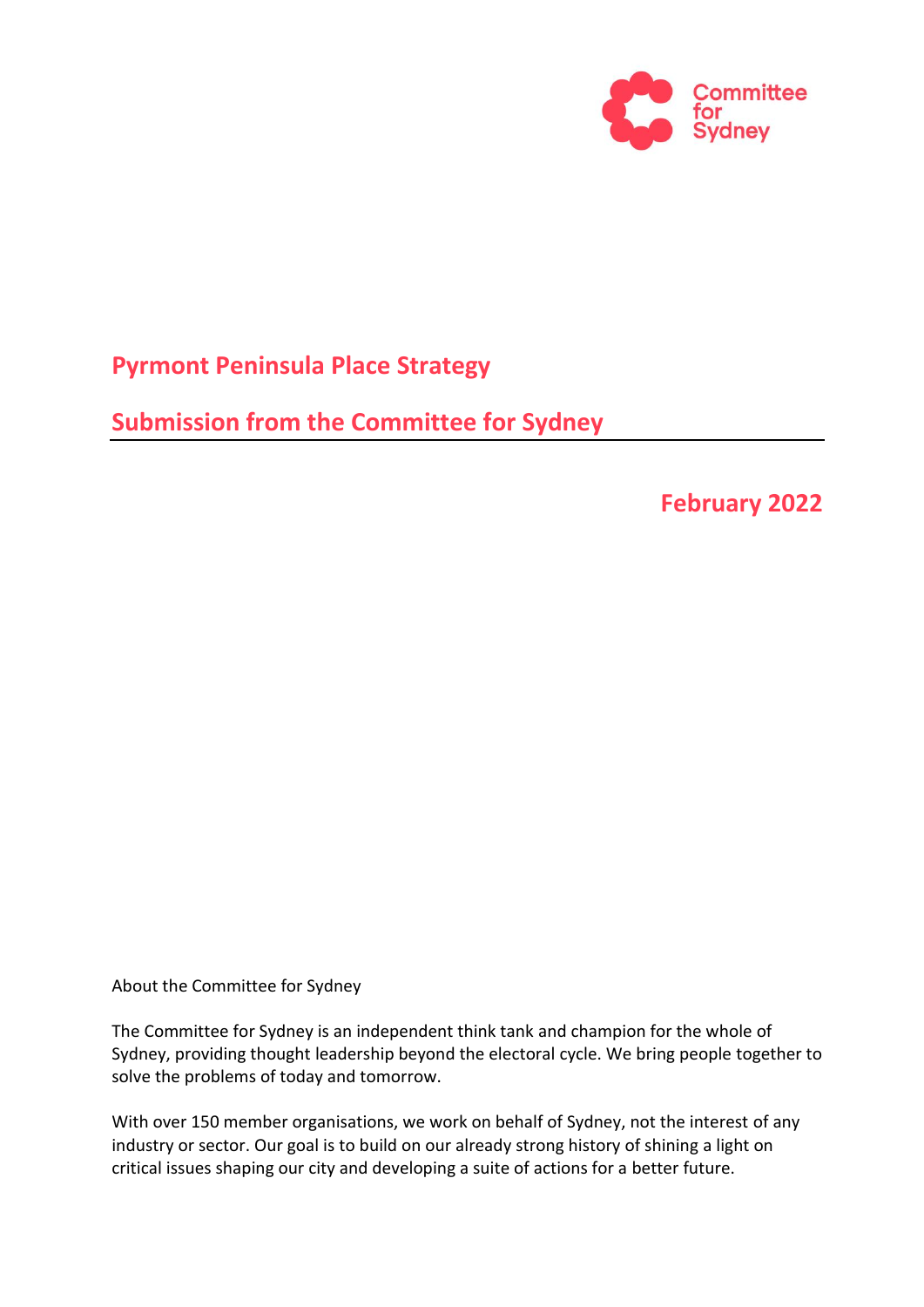

# **Pyrmont Peninsula Place Strategy**

**Submission from the Committee for Sydney**

# **February 2022**

About the Committee for Sydney

The Committee for Sydney is an independent think tank and champion for the whole of Sydney, providing thought leadership beyond the electoral cycle. We bring people together to solve the problems of today and tomorrow.

With over 150 member organisations, we work on behalf of Sydney, not the interest of any industry or sector. Our goal is to build on our already strong history of shining a light on critical issues shaping our city and developing a suite of actions for a better future.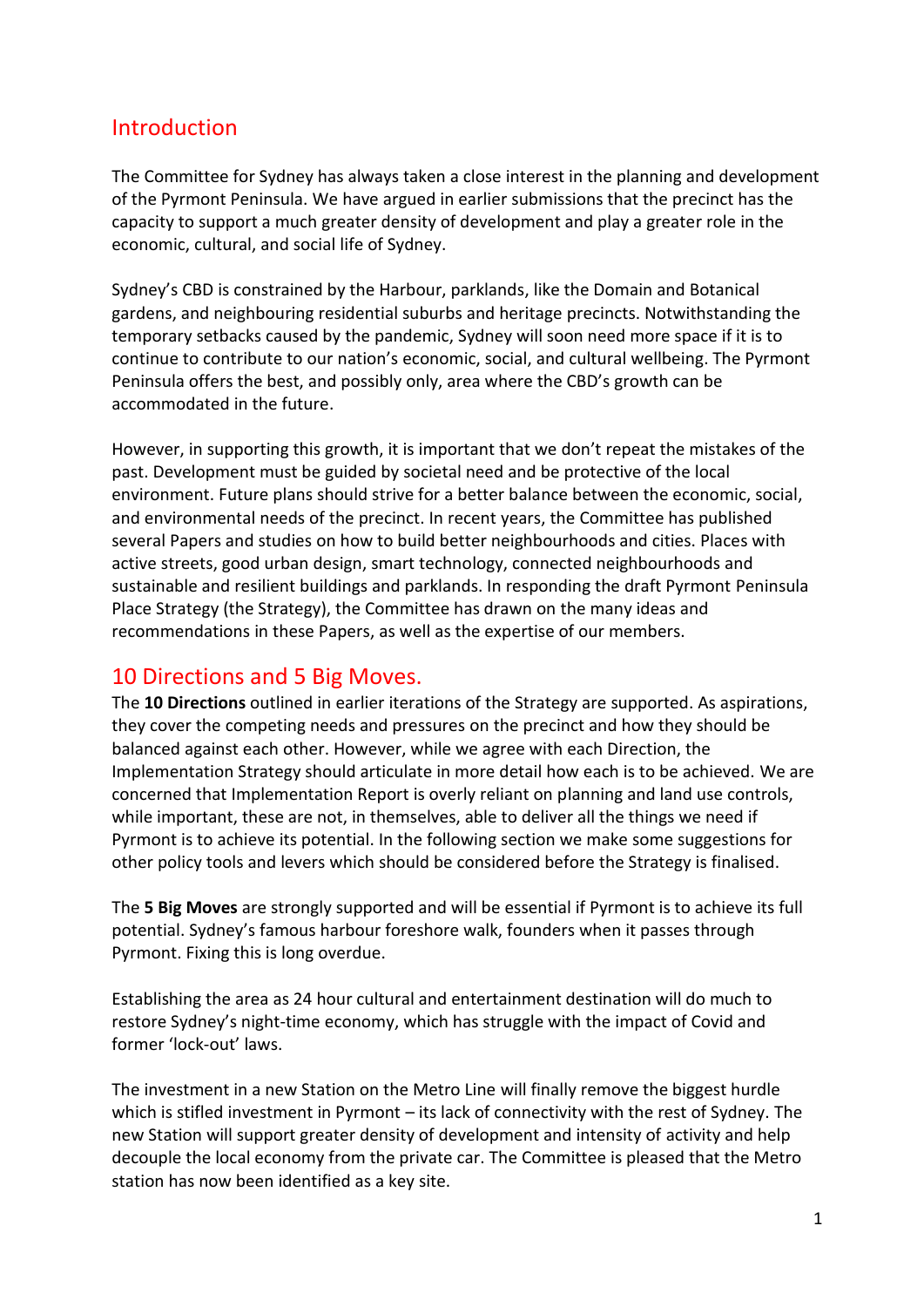## Introduction

The Committee for Sydney has always taken a close interest in the planning and development of the Pyrmont Peninsula. We have argued in earlier submissions that the precinct has the capacity to support a much greater density of development and play a greater role in the economic, cultural, and social life of Sydney.

Sydney's CBD is constrained by the Harbour, parklands, like the Domain and Botanical gardens, and neighbouring residential suburbs and heritage precincts. Notwithstanding the temporary setbacks caused by the pandemic, Sydney will soon need more space if it is to continue to contribute to our nation's economic, social, and cultural wellbeing. The Pyrmont Peninsula offers the best, and possibly only, area where the CBD's growth can be accommodated in the future.

However, in supporting this growth, it is important that we don't repeat the mistakes of the past. Development must be guided by societal need and be protective of the local environment. Future plans should strive for a better balance between the economic, social, and environmental needs of the precinct. In recent years, the Committee has published several Papers and studies on how to build better neighbourhoods and cities. Places with active streets, good urban design, smart technology, connected neighbourhoods and sustainable and resilient buildings and parklands. In responding the draft Pyrmont Peninsula Place Strategy (the Strategy), the Committee has drawn on the many ideas and recommendations in these Papers, as well as the expertise of our members.

### 10 Directions and 5 Big Moves.

The **10 Directions** outlined in earlier iterations of the Strategy are supported. As aspirations, they cover the competing needs and pressures on the precinct and how they should be balanced against each other. However, while we agree with each Direction, the Implementation Strategy should articulate in more detail how each is to be achieved. We are concerned that Implementation Report is overly reliant on planning and land use controls, while important, these are not, in themselves, able to deliver all the things we need if Pyrmont is to achieve its potential. In the following section we make some suggestions for other policy tools and levers which should be considered before the Strategy is finalised.

The **5 Big Moves** are strongly supported and will be essential if Pyrmont is to achieve its full potential. Sydney's famous harbour foreshore walk, founders when it passes through Pyrmont. Fixing this is long overdue.

Establishing the area as 24 hour cultural and entertainment destination will do much to restore Sydney's night-time economy, which has struggle with the impact of Covid and former 'lock-out' laws.

The investment in a new Station on the Metro Line will finally remove the biggest hurdle which is stifled investment in Pyrmont – its lack of connectivity with the rest of Sydney. The new Station will support greater density of development and intensity of activity and help decouple the local economy from the private car. The Committee is pleased that the Metro station has now been identified as a key site.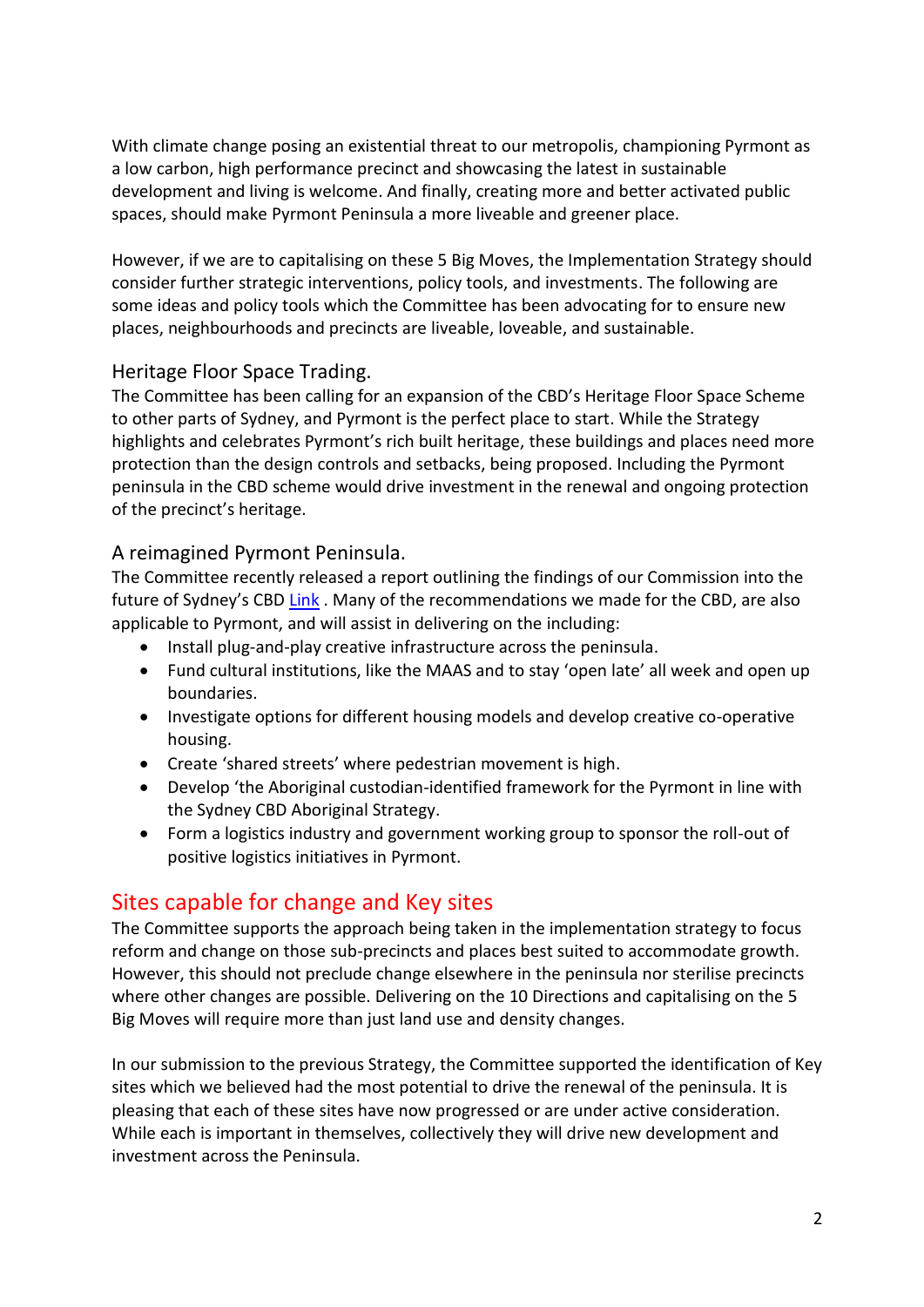With climate change posing an existential threat to our metropolis, championing Pyrmont as a low carbon, high performance precinct and showcasing the latest in sustainable development and living is welcome. And finally, creating more and better activated public spaces, should make Pyrmont Peninsula a more liveable and greener place.

However, if we are to capitalising on these 5 Big Moves, the Implementation Strategy should consider further strategic interventions, policy tools, and investments. The following are some ideas and policy tools which the Committee has been advocating for to ensure new places, neighbourhoods and precincts are liveable, loveable, and sustainable.

#### Heritage Floor Space Trading.

The Committee has been calling for an expansion of the CBD's Heritage Floor Space Scheme to other parts of Sydney, and Pyrmont is the perfect place to start. While the Strategy highlights and celebrates Pyrmont's rich built heritage, these buildings and places need more protection than the design controls and setbacks, being proposed. Including the Pyrmont peninsula in the CBD scheme would drive investment in the renewal and ongoing protection of the precinct's heritage.

#### A reimagined Pyrmont Peninsula.

The Committee recently released a report outlining the findings of our Commission into the future of Sydney's CBD [Link](Submission%20Pyrmont%20Strategy%20February%202022.docx). Many of the recommendations we made for the CBD, are also applicable to Pyrmont, and will assist in delivering on the including:

- Install plug-and-play creative infrastructure across the peninsula.
- Fund cultural institutions, like the MAAS and to stay 'open late' all week and open up boundaries.
- Investigate options for different housing models and develop creative co-operative housing.
- Create 'shared streets' where pedestrian movement is high.
- Develop 'the Aboriginal custodian-identified framework for the Pyrmont in line with the Sydney CBD Aboriginal Strategy.
- Form a logistics industry and government working group to sponsor the roll-out of positive logistics initiatives in Pyrmont.

## Sites capable for change and Key sites

The Committee supports the approach being taken in the implementation strategy to focus reform and change on those sub-precincts and places best suited to accommodate growth. However, this should not preclude change elsewhere in the peninsula nor sterilise precincts where other changes are possible. Delivering on the 10 Directions and capitalising on the 5 Big Moves will require more than just land use and density changes.

In our submission to the previous Strategy, the Committee supported the identification of Key sites which we believed had the most potential to drive the renewal of the peninsula. It is pleasing that each of these sites have now progressed or are under active consideration. While each is important in themselves, collectively they will drive new development and investment across the Peninsula.